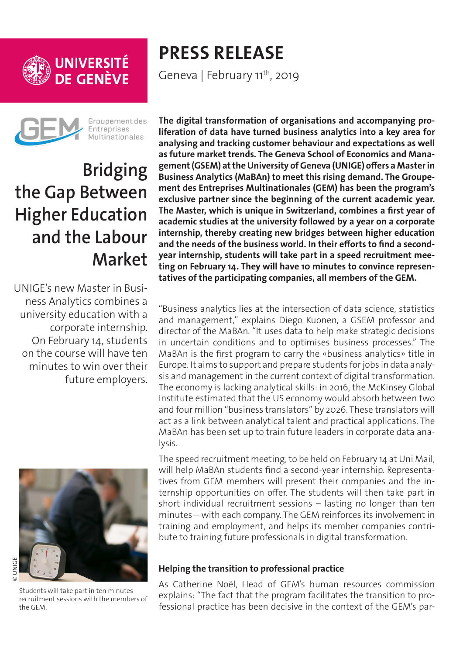



Groupement des **Entreprises** Multinationales

# **Bridging the Gap Between Higher Education and the Labour Market**

UNIGE's new Master in Business Analytics combines a university education with a corporate internship. On February 14, students on the course will have ten minutes to win over their future employers.



Students will take part in ten minutes recruitment sessions with the members of the GEM.

## **PRESS RELEASE** Geneva | February 11<sup>th</sup>, 2019

**The digital transformation of organisations and accompanying proliferation of data have turned business analytics into a key area for analysing and tracking customer behaviour and expectations as well as future market trends. The Geneva School of Economics and Management (GSEM) at the University of Geneva (UNIGE) offers a Master in Business Analytics (MaBAn) to meet this rising demand. The Groupement des Entreprises Multinationales (GEM) has been the program's exclusive partner since the beginning of the current academic year. The Master, which is unique in Switzerland, combines a first year of academic studies at the university followed by a year on a corporate internship, thereby creating new bridges between higher education and the needs of the business world. In their efforts to find a secondyear internship, students will take part in a speed recruitment meeting on February 14. They will have 10 minutes to convince representatives of the participating companies, all members of the GEM.**

"Business analytics lies at the intersection of data science, statistics and management," explains Diego Kuonen, a GSEM professor and director of the MaBAn. "It uses data to help make strategic decisions in uncertain conditions and to optimises business processes." The MaBAn is the first program to carry the «business analytics» title in Europe. It aims to support and prepare students for jobs in data analysis and management in the current context of digital transformation. The economy is lacking analytical skills: in 2016, the McKinsey Global Institute estimated that the US economy would absorb between two and four million "business translators" by 2026. These translators will act as a link between analytical talent and practical applications. The MaBAn has been set up to train future leaders in corporate data analysis.

The speed recruitment meeting, to be held on February 14 at Uni Mail, will help MaBAn students find a second-year internship. Representatives from GEM members will present their companies and the internship opportunities on offer. The students will then take part in short individual recruitment sessions – lasting no longer than ten minutes – with each company. The GEM reinforces its involvement in training and employment, and helps its member companies contribute to training future professionals in digital transformation.

## **Helping the transition to professional practice**

As Catherine Noël, Head of GEM's human resources commission explains: "The fact that the program facilitates the transition to professional practice has been decisive in the context of the GEM's par